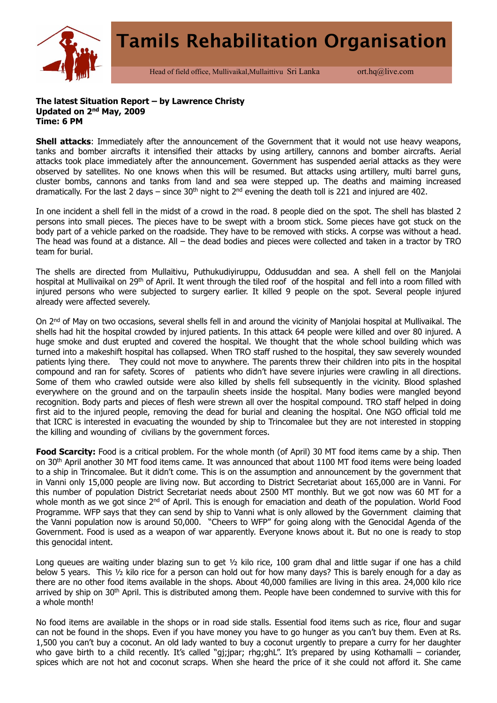

Head of field office, Mullivaikal, Mullaittivu Sri Lanka ort.hq@live.com

## **The latest Situation Report – by Lawrence Christy Updated on 2nd May, 2009 Time: 6 PM**

**Shell attacks**: Immediately after the announcement of the Government that it would not use heavy weapons, tanks and bomber aircrafts it intensified their attacks by using artillery, cannons and bomber aircrafts. Aerial attacks took place immediately after the announcement. Government has suspended aerial attacks as they were observed by satellites. No one knows when this will be resumed. But attacks using artillery, multi barrel guns, cluster bombs, cannons and tanks from land and sea were stepped up. The deaths and maiming increased dramatically. For the last 2 days – since  $30<sup>th</sup>$  night to  $2<sup>nd</sup>$  evening the death toll is 221 and injured are 402.

In one incident a shell fell in the midst of a crowd in the road. 8 people died on the spot. The shell has blasted 2 persons into small pieces. The pieces have to be swept with a broom stick. Some pieces have got stuck on the body part of a vehicle parked on the roadside. They have to be removed with sticks. A corpse was without a head. The head was found at a distance. All – the dead bodies and pieces were collected and taken in a tractor by TRO team for burial.

The shells are directed from Mullaitivu, Puthukudiyiruppu, Oddusuddan and sea. A shell fell on the Manjolai hospital at Mullivaikal on 29<sup>th</sup> of April. It went through the tiled roof of the hospital and fell into a room filled with injured persons who were subjected to surgery earlier. It killed 9 people on the spot. Several people injured already were affected severely.

On 2<sup>nd</sup> of May on two occasions, several shells fell in and around the vicinity of Manjolai hospital at Mullivaikal. The shells had hit the hospital crowded by injured patients. In this attack 64 people were killed and over 80 injured. A huge smoke and dust erupted and covered the hospital. We thought that the whole school building which was turned into a makeshift hospital has collapsed. When TRO staff rushed to the hospital, they saw severely wounded patients lying there. They could not move to anywhere. The parents threw their children into pits in the hospital compound and ran for safety. Scores of patients who didn't have severe injuries were crawling in all directions. Some of them who crawled outside were also killed by shells fell subsequently in the vicinity. Blood splashed everywhere on the ground and on the tarpaulin sheets inside the hospital. Many bodies were mangled beyond recognition. Body parts and pieces of flesh were strewn all over the hospital compound. TRO staff helped in doing first aid to the injured people, removing the dead for burial and cleaning the hospital. One NGO official told me that ICRC is interested in evacuating the wounded by ship to Trincomalee but they are not interested in stopping the killing and wounding of civilians by the government forces.

**Food Scarcity:** Food is a critical problem. For the whole month (of April) 30 MT food items came by a ship. Then on 30th April another 30 MT food items came. It was announced that about 1100 MT food items were being loaded to a ship in Trincomalee. But it didn't come. This is on the assumption and announcement by the government that in Vanni only 15,000 people are living now. But according to District Secretariat about 165,000 are in Vanni. For this number of population District Secretariat needs about 2500 MT monthly. But we got now was 60 MT for a whole month as we got since 2<sup>nd</sup> of April. This is enough for emaciation and death of the population. World Food Programme. WFP says that they can send by ship to Vanni what is only allowed by the Government claiming that the Vanni population now is around 50,000. "Cheers to WFP" for going along with the Genocidal Agenda of the Government. Food is used as a weapon of war apparently. Everyone knows about it. But no one is ready to stop this genocidal intent.

Long queues are waiting under blazing sun to get  $\frac{1}{2}$  kilo rice, 100 gram dhal and little sugar if one has a child below 5 years. This ½ kilo rice for a person can hold out for how many days? This is barely enough for a day as there are no other food items available in the shops. About 40,000 families are living in this area. 24,000 kilo rice arrived by ship on 30<sup>th</sup> April. This is distributed among them. People have been condemned to survive with this for a whole month!

No food items are available in the shops or in road side stalls. Essential food items such as rice, flour and sugar can not be found in the shops. Even if you have money you have to go hunger as you can't buy them. Even at Rs. 1,500 you can't buy a coconut. An old lady wanted to buy a coconut urgently to prepare a curry for her daughter who gave birth to a child recently. It's called "gj;jpar; rhg;ghL". It's prepared by using Kothamalli – coriander, spices which are not hot and coconut scraps. When she heard the price of it she could not afford it. She came